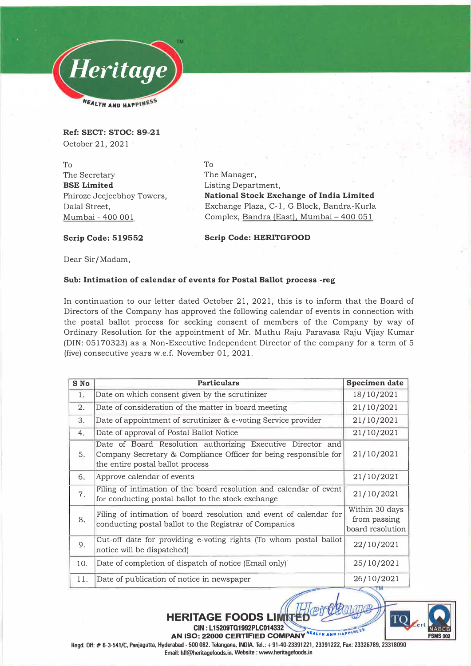

**Ref: SECT: STOC: 89-21**  October 21, 2021

To The Secretary **BSE Limited**  Phiroze Jeejeebhoy Towers, Dalal Street, Mumbai - 400 001

To The Manager, Listing Department, **National Stock Exchange of India Limited**  Exchange Plaza, C-1, G Block, Bandra -Kurla Complex, Bandra (East), Mumbai - 400 051

**Scrip Code: 519552 Scrip Code: HERITGFOOD** 

Dear Sir/Madam,

## **Sub: Intimation of calendar of events for Postal Ballot process -reg**

In continuation to our letter dated October 21, 2021, this is to inform that the Board of Directors of the Company has approved the following calendar of events in connection with the postal ballot process for seeking consent of members of the Company by way of Ordinary Resolution for the appointment of Mr. Muthu Raju Paravasa Raju Vijay Kumar (DIN: 05170323) as a Non-Executive Independent Director of the company for a term of 5 (five) consecutive years w.e.f. November 01, 2021.

| S No | <b>Particulars</b>                                                                                                                                                  | Specimen date                                      |
|------|---------------------------------------------------------------------------------------------------------------------------------------------------------------------|----------------------------------------------------|
| 1.   | Date on which consent given by the scrutinizer                                                                                                                      | 18/10/2021                                         |
| 2.   | Date of consideration of the matter in board meeting                                                                                                                | 21/10/2021                                         |
| 3.   | Date of appointment of scrutinizer & e-voting Service provider                                                                                                      | 21/10/2021                                         |
| 4.   | Date of approval of Postal Ballot Notice                                                                                                                            | 21/10/2021                                         |
| 5.   | Date of Board Resolution authorizing Executive Director and<br>Company Secretary & Compliance Officer for being responsible for<br>the entire postal ballot process | 21/10/2021                                         |
| 6.   | Approve calendar of events                                                                                                                                          | 21/10/2021                                         |
| 7.   | Filing of intimation of the board resolution and calendar of event<br>for conducting postal ballot to the stock exchange                                            | 21/10/2021                                         |
| 8.   | Filing of intimation of board resolution and event of calendar for<br>conducting postal ballot to the Registrar of Companies                                        | Within 30 days<br>from passing<br>board resolution |
| 9.   | Cut-off date for providing e-voting rights (To whom postal ballot<br>notice will be dispatched)                                                                     | 22/10/2021                                         |
| 10.  | Date of completion of dispatch of notice (Email only)                                                                                                               | 25/10/2021                                         |
| 11.  | Date of publication of notice in newspaper                                                                                                                          | 26/10/2021                                         |



**Regd. Off:# 6-3-541/C, Panjagutta, Hyderabad- 500 082. Telangana, INDIA. Tel.: +91-40-23391221, 23391222, Fax: 23326789, 23318090**